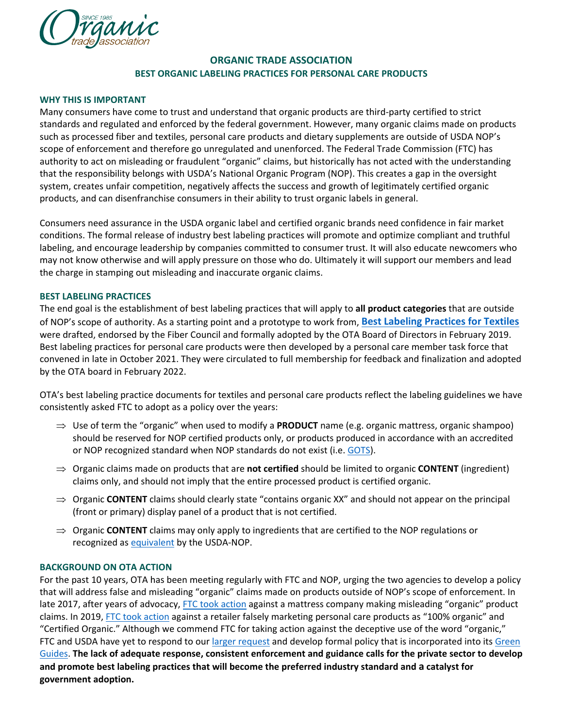

# **ORGANIC TRADE ASSOCIATION BEST ORGANIC LABELING PRACTICES FOR PERSONAL CARE PRODUCTS**

## **WHY THIS IS IMPORTANT**

Many consumers have come to trust and understand that organic products are third-party certified to strict standards and regulated and enforced by the federal government. However, many organic claims made on products such as processed fiber and textiles, personal care products and dietary supplements are outside of USDA NOP's scope of enforcement and therefore go unregulated and unenforced. The Federal Trade Commission (FTC) has authority to act on misleading or fraudulent "organic" claims, but historically has not acted with the understanding that the responsibility belongs with USDA's National Organic Program (NOP). This creates a gap in the oversight system, creates unfair competition, negatively affects the success and growth of legitimately certified organic products, and can disenfranchise consumers in their ability to trust organic labels in general.

Consumers need assurance in the USDA organic label and certified organic brands need confidence in fair market conditions. The formal release of industry best labeling practices will promote and optimize compliant and truthful labeling, and encourage leadership by companies committed to consumer trust. It will also educate newcomers who may not know otherwise and will apply pressure on those who do. Ultimately it will support our members and lead the charge in stamping out misleading and inaccurate organic claims.

## **BEST LABELING PRACTICES**

The end goal is the establishment of best labeling practices that will apply to **all product categories** that are outside of NOP's scope of authority. As a starting point and a prototype to work from, **[Best Labeling Practices for Textiles](https://ota.com/sites/default/files/indexed_files/BestLabelingPractices_Textiles_05152019_Links.pdf)** were drafted, endorsed by the Fiber Council and formally adopted by the OTA Board of Directors in February 2019. Best labeling practices for personal care products were then developed by a personal care member task force that convened in late in October 2021. They were circulated to full membership for feedback and finalization and adopted by the OTA board in February 2022.

OTA's best labeling practice documents for textiles and personal care products reflect the labeling guidelines we have consistently asked FTC to adopt as a policy over the years:

- ⇒ Use of term the "organic" when used to modify a **PRODUCT** name (e.g. organic mattress, organic shampoo) should be reserved for NOP certified products only, or products produced in accordance with an accredited or NOP recognized standard when NOP standards do not exist (i.e. [GOTS\)](https://www.ams.usda.gov/sites/default/files/media/NOP-PM-11-14-LabelingofTextiles.pdf).
- ⇒ Organic claims made on products that are **not certified** should be limited to organic **CONTENT** (ingredient) claims only, and should not imply that the entire processed product is certified organic.
- ⇒ Organic **CONTENT** claims should clearly state "contains organic XX" and should not appear on the principal (front or primary) display panel of a product that is not certified.
- ⇒ Organic **CONTENT** claims may only apply to ingredients that are certified to the NOP regulations or recognized as [equivalent](https://ota.com/international-trade/trade-agreements) by the USDA-NOP.

# **BACKGROUND ON OTA ACTION**

For the past 10 years, OTA has been meeting regularly with FTC and NOP, urging the two agencies to develop a policy that will address false and misleading "organic" claims made on products outside of NOP's scope of enforcement. In late 2017, after years of advocacy, [FTC took action](https://www.ftc.gov/news-events/press-releases/2017/12/ftc-approves-final-consent-order-moonlight-slumber-llc) against a mattress company making misleading "organic" product claims. In 2019, [FTC took action](https://www.ftc.gov/news-events/press-releases/2019/09/truly-organic-ftc-says-no-alleges-retailer-misled-consumers-about) against a retailer falsely marketing personal care products as "100% organic" and "Certified Organic." Although we commend FTC for taking action against the deceptive use of the word "organic," FTC and USDA have yet to respond to ou[r larger request](https://ota.com/sites/default/files/indexed_files/OTA_FTC_SurveyComments_Final12116.pdf) and develop formal policy that is incorporated into its Green [Guides.](https://www.ftc.gov/news-events/media-resources/truth-advertising/green-guides) **The lack of adequate response, consistent enforcement and guidance calls for the private sector to develop and promote best labeling practices that will become the preferred industry standard and a catalyst for government adoption.**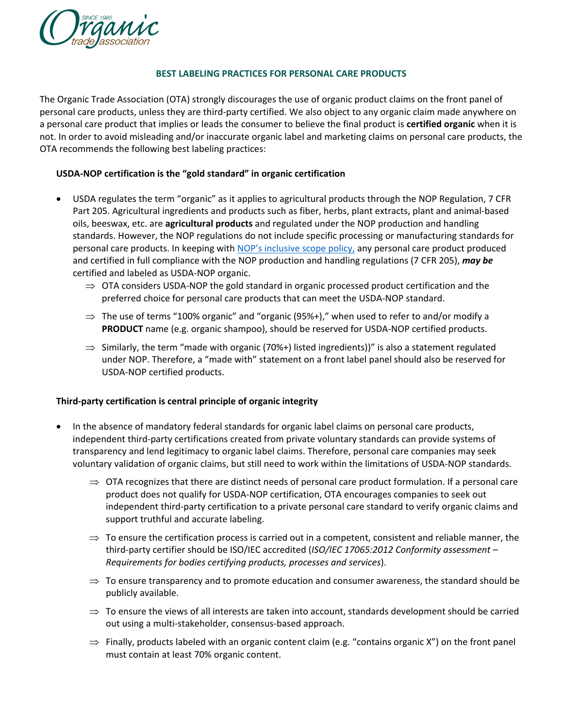

#### **BEST LABELING PRACTICES FOR PERSONAL CARE PRODUCTS**

The Organic Trade Association (OTA) strongly discourages the use of organic product claims on the front panel of personal care products, unless they are third-party certified. We also object to any organic claim made anywhere on a personal care product that implies or leads the consumer to believe the final product is **certified organic** when it is not. In order to avoid misleading and/or inaccurate organic label and marketing claims on personal care products, the OTA recommends the following best labeling practices:

#### **USDA-NOP certification is the "gold standard" in organic certification**

- USDA regulates the term "organic" as it applies to agricultural products through the NOP Regulation, 7 CFR Part 205. Agricultural ingredients and products such as fiber, herbs, plant extracts, plant and animal-based oils, beeswax, etc. are **agricultural products** and regulated under the NOP production and handling standards. However, the NOP regulations do not include specific processing or manufacturing standards for personal care products. In keeping with [NOP's inclusive scope policy,](https://www.ams.usda.gov/sites/default/files/media/OrganicCosmeticsFactSheet.pdf) any personal care product produced and certified in full compliance with the NOP production and handling regulations (7 CFR 205), *may be* certified and labeled as USDA-NOP organic.
	- $\Rightarrow$  OTA considers USDA-NOP the gold standard in organic processed product certification and the preferred choice for personal care products that can meet the USDA-NOP standard.
	- $\Rightarrow$  The use of terms "100% organic" and "organic (95%+)," when used to refer to and/or modify a **PRODUCT** name (e.g. organic shampoo), should be reserved for USDA-NOP certified products.
	- $\Rightarrow$  Similarly, the term "made with organic (70%+) listed ingredients))" is also a statement regulated under NOP. Therefore, a "made with" statement on a front label panel should also be reserved for USDA-NOP certified products.

#### **Third-party certification is central principle of organic integrity**

- In the absence of mandatory federal standards for organic label claims on personal care products, independent third-party certifications created from private voluntary standards can provide systems of transparency and lend legitimacy to organic label claims. Therefore, personal care companies may seek voluntary validation of organic claims, but still need to work within the limitations of USDA-NOP standards.
	- $\Rightarrow$  OTA recognizes that there are distinct needs of personal care product formulation. If a personal care product does not qualify for USDA-NOP certification, OTA encourages companies to seek out independent third-party certification to a private personal care standard to verify organic claims and support truthful and accurate labeling.
	- $\Rightarrow$  To ensure the certification process is carried out in a competent, consistent and reliable manner, the third-party certifier should be ISO/IEC accredited (*ISO/IEC 17065:2012 Conformity assessment – Requirements for bodies certifying products, processes and services*).
	- $\Rightarrow$  To ensure transparency and to promote education and consumer awareness, the standard should be publicly available.
	- $\Rightarrow$  To ensure the views of all interests are taken into account, standards development should be carried out using a multi-stakeholder, consensus-based approach.
	- $\Rightarrow$  Finally, products labeled with an organic content claim (e.g. "contains organic X") on the front panel must contain at least 70% organic content.